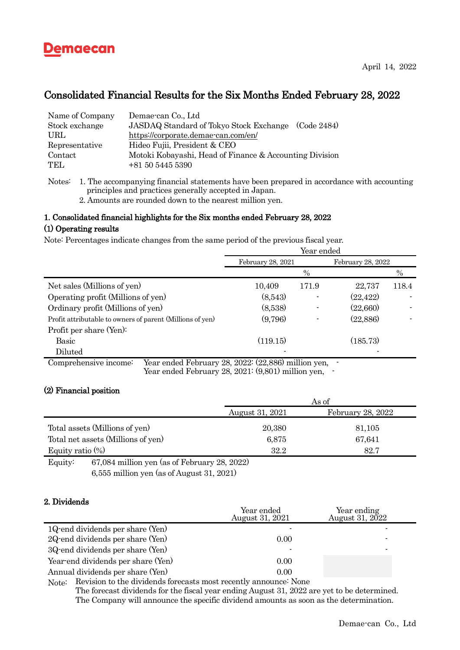

# Consolidated Financial Results for the Six Months Ended February 28, 2022

| Name of Company | Demae-can Co., Ltd                                      |
|-----------------|---------------------------------------------------------|
| Stock exchange  | JASDAQ Standard of Tokyo Stock Exchange (Code 2484)     |
| URL             | https://corporate.demae-can.com/en/                     |
| Representative  | Hideo Fujii, President & CEO                            |
| Contact         | Motoki Kobayashi, Head of Finance & Accounting Division |
| TEL.            | +81 50 5445 5390                                        |

Notes: 1. The accompanying financial statements have been prepared in accordance with accounting principles and practices generally accepted in Japan.

2. Amounts are rounded down to the nearest million yen.

### 1. Consolidated financial highlights for the Six months ended February 28, 2022

### (1) Operating results

Note: Percentages indicate changes from the same period of the previous fiscal year.

| Year ended        |                  |                   |       |
|-------------------|------------------|-------------------|-------|
| February 28, 2021 |                  | February 28, 2022 |       |
|                   | $\%$             |                   | $\%$  |
| 10,409            | 171.9            | 22,737            | 118.4 |
| (8,543)           |                  | (22, 422)         |       |
| (8,538)           |                  | (22,660)          |       |
| (9,796)           |                  | (22,886)          |       |
|                   |                  |                   |       |
| (119.15)          |                  | (185.73)          |       |
|                   |                  |                   |       |
|                   | -- ---- (-- ---) | $-1$              |       |

Comprehensive income: Year ended February 28, 2022: (22,886) million yen, - Year ended February 28, 2021: (9,801) million yen,

# (2) Financial position

|                                    | As of           |                   |
|------------------------------------|-----------------|-------------------|
|                                    | August 31, 2021 | February 28, 2022 |
| Total assets (Millions of yen)     | 20,380          | 81,105            |
| Total net assets (Millions of yen) | 6,875           | 67,641            |
| Equity ratio $(\%)$                | 32.2            | 82.7              |

Equity: 67,084 million yen (as of February 28, 2022) 6,555 million yen (as of August 31, 2021)

### 2. Dividends

|                                      | Year ended<br>August 31, 2021 | Year ending<br>August 31, 2022 |
|--------------------------------------|-------------------------------|--------------------------------|
| $1Q$ end dividends per share $(Yen)$ |                               |                                |
| 2Q end dividends per share (Yen)     | 0.00                          |                                |
| 3Q end dividends per share (Yen)     |                               |                                |
| Year-end dividends per share (Yen)   | 0.00                          |                                |
| Annual dividends per share (Yen)     | 0.00                          |                                |
|                                      |                               |                                |

Note: Revision to the dividends forecasts most recently announce: None The forecast dividends for the fiscal year ending August 31, 2022 are yet to be determined. The Company will announce the specific dividend amounts as soon as the determination.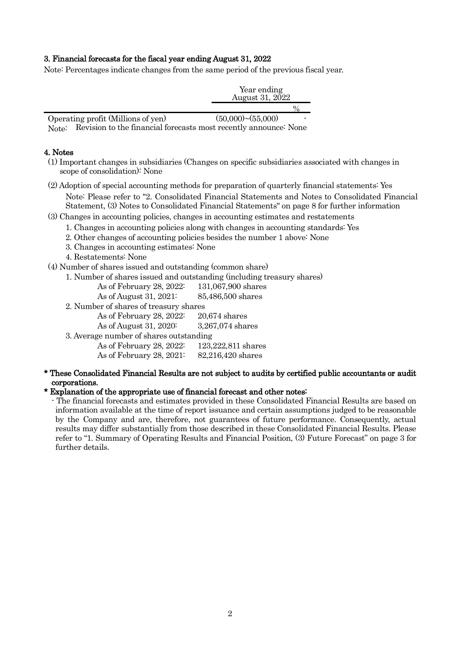# 3. Financial forecasts for the fiscal year ending August 31, 2022

Note: Percentages indicate changes from the same period of the previous fiscal year.

|                                    | Year ending<br>August 31, 2022 |  |
|------------------------------------|--------------------------------|--|
|                                    |                                |  |
| Operating profit (Millions of yen) | $(50,000)$ ~ $(55,000)$<br>-   |  |

Note: Revision to the financial forecasts most recently announce: None

# 4. Notes

- (1) Important changes in subsidiaries (Changes on specific subsidiaries associated with changes in scope of consolidation): None
- (2) Adoption of special accounting methods for preparation of quarterly financial statements: Yes Note: Please refer to "2. Consolidated Financial Statements and Notes to Consolidated Financial Statement, (3) Notes to Consolidated Financial Statements" on page 8 for further information

## (3) Changes in accounting policies, changes in accounting estimates and restatements

- 1. Changes in accounting policies along with changes in accounting standards: Yes
- 2. Other changes of accounting policies besides the number 1 above: None
- 3. Changes in accounting estimates: None
- 4. Restatements: None

(4) Number of shares issued and outstanding (common share)

- 1. Number of shares issued and outstanding (including treasury shares)
	- As of February 28, 2022: 131,067,900 shares

As of August 31, 2021: 85,486,500 shares

- 2. Number of shares of treasury shares
- As of February 28, 2022: 20,674 shares As of August 31, 2020: 3,267,074 shares 3. Average number of shares outstanding

As of February 28, 2022: 123,222,811 shares As of February 28, 2021: 82,216,420 shares

\* These Consolidated Financial Results are not subject to audits by certified public accountants or audit corporations.

### \* Explanation of the appropriate use of financial forecast and other notes:

- The financial forecasts and estimates provided in these Consolidated Financial Results are based on information available at the time of report issuance and certain assumptions judged to be reasonable by the Company and are, therefore, not guarantees of future performance. Consequently, actual results may differ substantially from those described in these Consolidated Financial Results. Please refer to "1. Summary of Operating Results and Financial Position, (3) Future Forecast" on page 3 for further details.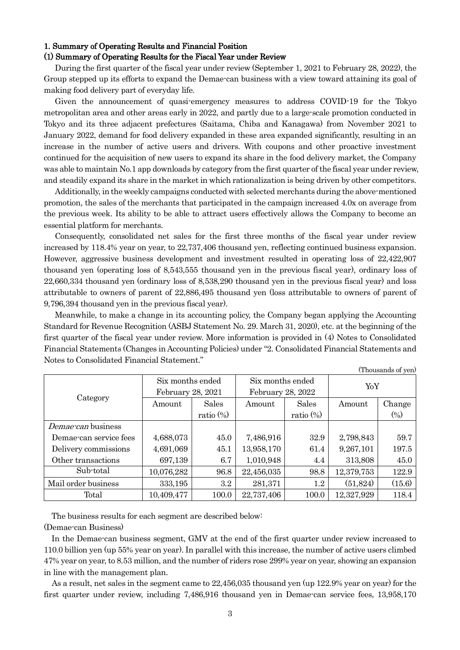#### 1. Summary of Operating Results and Financial Position (1) Summary of Operating Results for the Fiscal Year under Review

# During the first quarter of the fiscal year under review (September 1, 2021 to February 28, 2022), the Group stepped up its efforts to expand the Demae-can business with a view toward attaining its goal of

making food delivery part of everyday life. Given the announcement of quasi-emergency measures to address COVID-19 for the Tokyo metropolitan area and other areas early in 2022, and partly due to a large-scale promotion conducted in Tokyo and its three adjacent prefectures (Saitama, Chiba and Kanagawa) from November 2021 to January 2022, demand for food delivery expanded in these area expanded significantly, resulting in an increase in the number of active users and drivers. With coupons and other proactive investment continued for the acquisition of new users to expand its share in the food delivery market, the Company was able to maintain No.1 app downloads by category from the first quarter of the fiscal year under review, and steadily expand its share in the market in which rationalization is being driven by other competitors.

Additionally, in the weekly campaigns conducted with selected merchants during the above-mentioned promotion, the sales of the merchants that participated in the campaign increased 4.0x on average from the previous week. Its ability to be able to attract users effectively allows the Company to become an essential platform for merchants.

Consequently, consolidated net sales for the first three months of the fiscal year under review increased by 118.4% year on year, to 22,737,406 thousand yen, reflecting continued business expansion. However, aggressive business development and investment resulted in operating loss of 22,422,907 thousand yen (operating loss of 8,543,555 thousand yen in the previous fiscal year), ordinary loss of 22,660,334 thousand yen (ordinary loss of 8,538,290 thousand yen in the previous fiscal year) and loss attributable to owners of parent of 22,886,495 thousand yen (loss attributable to owners of parent of 9,796,394 thousand yen in the previous fiscal year).

Meanwhile, to make a change in its accounting policy, the Company began applying the Accounting Standard for Revenue Recognition (ASBJ Statement No. 29. March 31, 2020), etc. at the beginning of the first quarter of the fiscal year under review. More information is provided in (4) Notes to Consolidated Financial Statements (Changes in Accounting Policies) under "2. Consolidated Financial Statements and Notes to Consolidated Financial Statement."

(Thousands of yen)

| THOUBALIUS OF YOU      |                  |                                        |                  |              |            |        |
|------------------------|------------------|----------------------------------------|------------------|--------------|------------|--------|
|                        | Six months ended |                                        | Six months ended |              | YoY        |        |
|                        |                  | February 28, 2021<br>February 28, 2022 |                  |              |            |        |
| Category               | Amount           | <b>Sales</b>                           | Amount           | <b>Sales</b> | Amount     | Change |
|                        |                  | ratio $(\%)$                           |                  | ratio $(\%)$ |            | (0/0)  |
| Demae-can business     |                  |                                        |                  |              |            |        |
| Demae-can service fees | 4,688,073        | 45.0                                   | 7,486,916        | 32.9         | 2,798,843  | 59.7   |
| Delivery commissions   | 4,691,069        | 45.1                                   | 13,958,170       | 61.4         | 9,267,101  | 197.5  |
| Other transactions     | 697,139          | 6.7                                    | 1,010,948        | 4.4          | 313,808    | 45.0   |
| Sub-total              | 10,076,282       | 96.8                                   | 22,456,035       | 98.8         | 12,379,753 | 122.9  |
| Mail order business    | 333,195          | 3.2                                    | 281,371          | $1.2\,$      | (51, 824)  | (15.6) |
| Total                  | 10,409,477       | 100.0                                  | 22,737,406       | 100.0        | 12,327,929 | 118.4  |

The business results for each segment are described below:

(Demae-can Business)

 In the Demae-can business segment, GMV at the end of the first quarter under review increased to 110.0 billion yen (up 55% year on year). In parallel with this increase, the number of active users climbed 47% year on year, to 8.53 million, and the number of riders rose 299% year on year, showing an expansion in line with the management plan.

 As a result, net sales in the segment came to 22,456,035 thousand yen (up 122.9% year on year) for the first quarter under review, including 7,486,916 thousand yen in Demae-can service fees, 13,958,170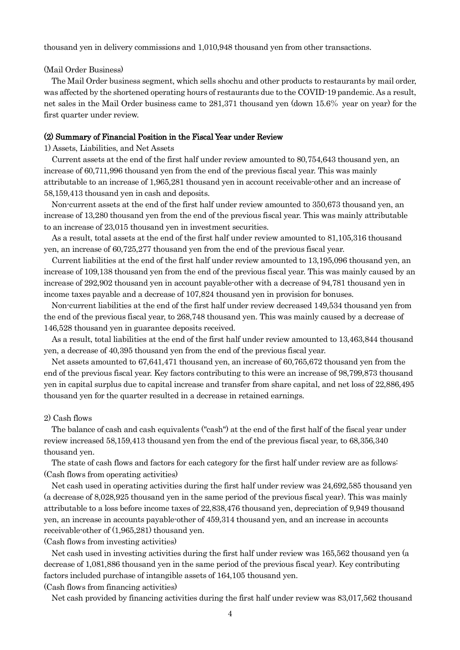thousand yen in delivery commissions and 1,010,948 thousand yen from other transactions.

#### (Mail Order Business)

 The Mail Order business segment, which sells shochu and other products to restaurants by mail order, was affected by the shortened operating hours of restaurants due to the COVID-19 pandemic. As a result, net sales in the Mail Order business came to 281,371 thousand yen (down 15.6% year on year) for the first quarter under review.

#### (2) Summary of Financial Position in the Fiscal Year under Review

#### 1) Assets, Liabilities, and Net Assets

 Current assets at the end of the first half under review amounted to 80,754,643 thousand yen, an increase of 60,711,996 thousand yen from the end of the previous fiscal year. This was mainly attributable to an increase of 1,965,281 thousand yen in account receivable-other and an increase of 58,159,413 thousand yen in cash and deposits.

 Non-current assets at the end of the first half under review amounted to 350,673 thousand yen, an increase of 13,280 thousand yen from the end of the previous fiscal year. This was mainly attributable to an increase of 23,015 thousand yen in investment securities.

 As a result, total assets at the end of the first half under review amounted to 81,105,316 thousand yen, an increase of 60,725,277 thousand yen from the end of the previous fiscal year.

 Current liabilities at the end of the first half under review amounted to 13,195,096 thousand yen, an increase of 109,138 thousand yen from the end of the previous fiscal year. This was mainly caused by an increase of 292,902 thousand yen in account payable-other with a decrease of 94,781 thousand yen in income taxes payable and a decrease of 107,824 thousand yen in provision for bonuses.

 Non-current liabilities at the end of the first half under review decreased 149,534 thousand yen from the end of the previous fiscal year, to 268,748 thousand yen. This was mainly caused by a decrease of 146,528 thousand yen in guarantee deposits received.

 As a result, total liabilities at the end of the first half under review amounted to 13,463,844 thousand yen, a decrease of 40,395 thousand yen from the end of the previous fiscal year.

 Net assets amounted to 67,641,471 thousand yen, an increase of 60,765,672 thousand yen from the end of the previous fiscal year. Key factors contributing to this were an increase of 98,799,873 thousand yen in capital surplus due to capital increase and transfer from share capital, and net loss of 22,886,495 thousand yen for the quarter resulted in a decrease in retained earnings.

#### 2) Cash flows

 The balance of cash and cash equivalents ("cash") at the end of the first half of the fiscal year under review increased 58,159,413 thousand yen from the end of the previous fiscal year, to 68,356,340 thousand yen.

 The state of cash flows and factors for each category for the first half under review are as follows: (Cash flows from operating activities)

 Net cash used in operating activities during the first half under review was 24,692,585 thousand yen (a decrease of 8,028,925 thousand yen in the same period of the previous fiscal year). This was mainly attributable to a loss before income taxes of 22,838,476 thousand yen, depreciation of 9,949 thousand yen, an increase in accounts payable-other of 459,314 thousand yen, and an increase in accounts receivable-other of (1,965,281) thousand yen.

(Cash flows from investing activities)

 Net cash used in investing activities during the first half under review was 165,562 thousand yen (a decrease of 1,081,886 thousand yen in the same period of the previous fiscal year). Key contributing factors included purchase of intangible assets of 164,105 thousand yen.

(Cash flows from financing activities)

Net cash provided by financing activities during the first half under review was 83,017,562 thousand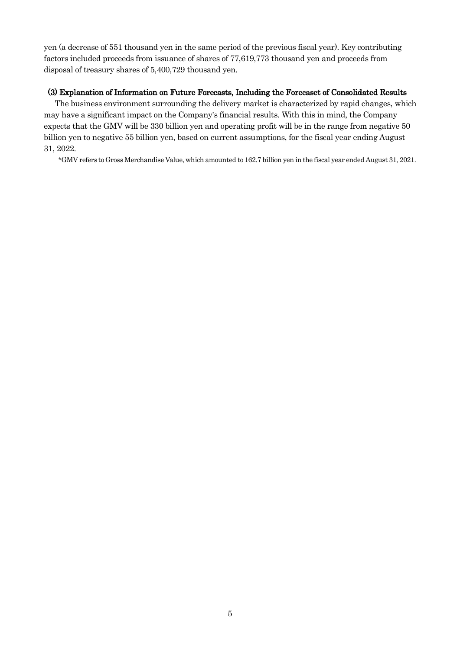yen (a decrease of 551 thousand yen in the same period of the previous fiscal year). Key contributing factors included proceeds from issuance of shares of 77,619,773 thousand yen and proceeds from disposal of treasury shares of 5,400,729 thousand yen.

## (3) Explanation of Information on Future Forecasts, Including the Forecaset of Consolidated Results

The business environment surrounding the delivery market is characterized by rapid changes, which may have a significant impact on the Company's financial results. With this in mind, the Company expects that the GMV will be 330 billion yen and operating profit will be in the range from negative 50 billion yen to negative 55 billion yen, based on current assumptions, for the fiscal year ending August 31, 2022.

\*GMV refers to Gross Merchandise Value, which amounted to 162.7 billion yen in the fiscal year ended August 31, 2021.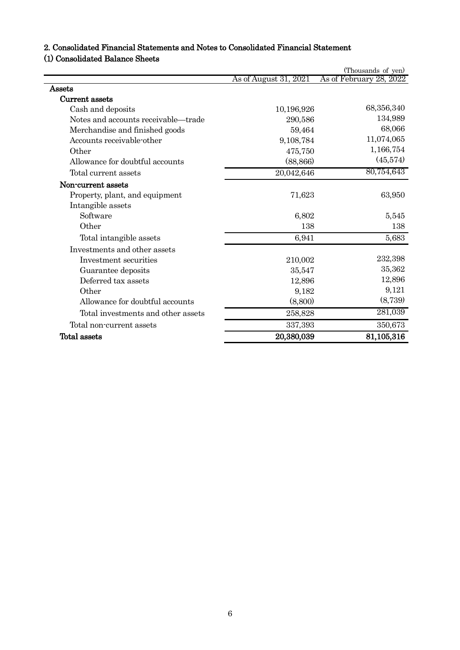# 2. Consolidated Financial Statements and Notes to Consolidated Financial Statement

# (1) Consolidated Balance Sheets

|                                     |                       | (Thousands of yen)      |
|-------------------------------------|-----------------------|-------------------------|
|                                     | As of August 31, 2021 | As of February 28, 2022 |
| Assets                              |                       |                         |
| Current assets                      |                       |                         |
| Cash and deposits                   | 10,196,926            | 68,356,340              |
| Notes and accounts receivable—trade | 290,586               | 134,989                 |
| Merchandise and finished goods      | 59,464                | 68,066                  |
| Accounts receivable-other           | 9,108,784             | 11,074,065              |
| Other                               | 475,750               | 1,166,754               |
| Allowance for doubtful accounts     | (88, 866)             | (45,574)                |
| Total current assets                | 20,042,646            | 80,754,643              |
| Non-current assets                  |                       |                         |
| Property, plant, and equipment      | 71,623                | 63,950                  |
| Intangible assets                   |                       |                         |
| Software                            | 6,802                 | 5,545                   |
| Other                               | 138                   | 138                     |
| Total intangible assets             | 6,941                 | 5,683                   |
| Investments and other assets        |                       |                         |
| Investment securities               | 210,002               | 232,398                 |
| Guarantee deposits                  | 35,547                | 35,362                  |
| Deferred tax assets                 | 12,896                | 12,896                  |
| Other                               | 9,182                 | 9,121                   |
| Allowance for doubtful accounts     | (8,800)               | (8,739)                 |
| Total investments and other assets  | 258,828               | 281,039                 |
| Total non-current assets            | 337,393               | 350,673                 |
| Total assets                        | 20,380,039            | 81,105,316              |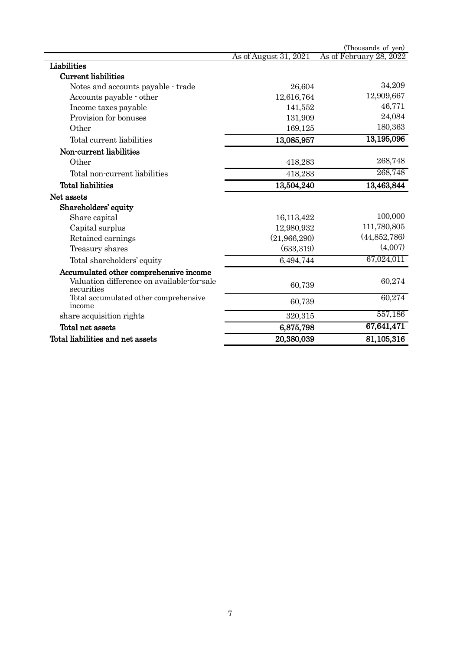|                                                          |                       | (Thousands of yen)      |
|----------------------------------------------------------|-----------------------|-------------------------|
|                                                          | As of August 31, 2021 | As of February 28, 2022 |
| Liabilities                                              |                       |                         |
| <b>Current liabilities</b>                               |                       |                         |
| Notes and accounts payable - trade                       | 26,604                | 34,209                  |
| Accounts payable - other                                 | 12,616,764            | 12,909,667              |
| Income taxes payable                                     | 141,552               | 46,771                  |
| Provision for bonuses                                    | 131,909               | 24,084                  |
| Other                                                    | 169,125               | 180,363                 |
| Total current liabilities                                | 13,085,957            | 13,195,096              |
| Non-current liabilities                                  |                       |                         |
| Other                                                    | 418,283               | 268,748                 |
| Total non-current liabilities                            | 418,283               | 268,748                 |
| <b>Total liabilities</b>                                 | 13,504,240            | 13,463,844              |
| Net assets                                               |                       |                         |
| Shareholders' equity                                     |                       |                         |
| Share capital                                            | 16,113,422            | 100,000                 |
| Capital surplus                                          | 12,980,932            | 111,780,805             |
| Retained earnings                                        | (21,966,290)          | (44,852,786)            |
| Treasury shares                                          | (633, 319)            | (4,007)                 |
| Total shareholders' equity                               | 6,494,744             | 67,024,011              |
| Accumulated other comprehensive income                   |                       |                         |
| Valuation difference on available-for-sale<br>securities | 60,739                | 60,274                  |
| Total accumulated other comprehensive<br>income          | 60,739                | 60,274                  |
| share acquisition rights                                 | 320,315               | 557,186                 |
| Total net assets                                         | 6,875,798             | 67,641,471              |
| Total liabilities and net assets                         | 20,380,039            | 81,105,316              |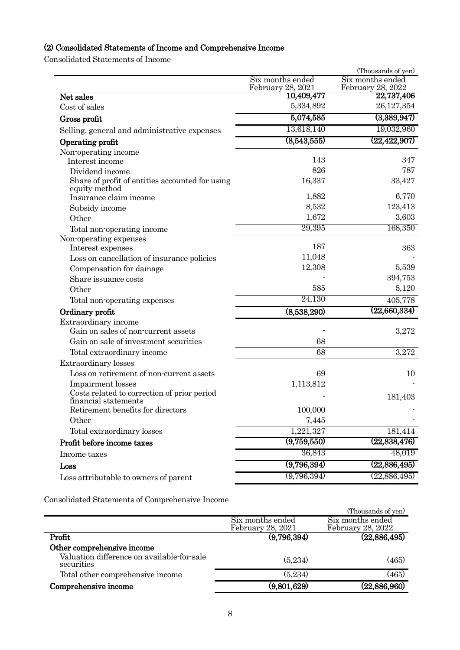# (2) Consolidated Statements of Income and Comprehensive Income

Consolidated Statements of Income

|                                                                     |                                                     | (Thousands of yen)                    |
|---------------------------------------------------------------------|-----------------------------------------------------|---------------------------------------|
|                                                                     | Six months ended<br>February 28, 2021<br>10,409,477 | Six months ended<br>February 28, 2022 |
| Net sales                                                           |                                                     | 22,737,406                            |
| Cost of sales                                                       | 5,334,892                                           | 26,127,354                            |
| Gross profit                                                        | 5,074,585                                           | (3,389,947)                           |
| Selling, general and administrative expenses                        | 13,618,140                                          | 19,032,960                            |
| Operating profit                                                    | (8,543,555)                                         | (22, 422, 907)                        |
| Non-operating income                                                |                                                     |                                       |
| Interest income                                                     | 143                                                 | 347                                   |
| Dividend income                                                     | 826                                                 | 787                                   |
| Share of profit of entities accounted for using<br>equity method    | 16,337                                              | 33,427                                |
| Insurance claim income                                              | 1,882                                               | 6,770                                 |
| Subsidy income                                                      | 8,532                                               | 123,413                               |
| Other                                                               | 1,672                                               | 3,603                                 |
| Total non-operating income                                          | 29,395                                              | 168,350                               |
| Non-operating expenses<br>Interest expenses                         | 187                                                 | 363                                   |
| Loss on cancellation of insurance policies                          | 11,048                                              |                                       |
| Compensation for damage                                             | 12,308                                              | 5,539                                 |
| Share issuance costs                                                |                                                     | 394,753                               |
| Other                                                               | 585                                                 | 5,120                                 |
| Total non-operating expenses                                        | 24,130                                              | 405,778                               |
| Ordinary profit                                                     | (8,538,290)                                         | (22,660,334)                          |
| Extraordinary income                                                |                                                     |                                       |
| Gain on sales of non-current assets                                 |                                                     | 3,272                                 |
| Gain on sale of investment securities                               | 68                                                  |                                       |
| Total extraordinary income                                          | 68                                                  | 3,272                                 |
| <b>Extraordinary</b> losses                                         |                                                     |                                       |
| Loss on retirement of non-current assets                            | 69                                                  | 10                                    |
| Impairment losses                                                   | 1,113,812                                           |                                       |
| Costs related to correction of prior period<br>financial statements |                                                     | 181,403                               |
| Retirement benefits for directors                                   | 100,000                                             |                                       |
| Other                                                               | 7,445                                               |                                       |
| Total extraordinary losses                                          | 1,221,327                                           | 181,414                               |
| Profit before income taxes                                          | (9,759,550)                                         | (22,838,476)                          |
| Income taxes                                                        | 36,843                                              | 48,019                                |
| Loss                                                                | (9,796,394)                                         | (22,886,495)                          |
| Loss attributable to owners of parent                               | (9,796,394)                                         | (22,886,495)                          |
|                                                                     |                                                     |                                       |

Consolidated Statements of Comprehensive Income

|                                                          |                   | (Thousands of yen)  |
|----------------------------------------------------------|-------------------|---------------------|
|                                                          | Six months ended  | Six months ended    |
|                                                          | February 28, 2021 | February 28, 2022   |
| Profit                                                   | (9,796,394)       | (22,886,495)        |
| Other comprehensive income                               |                   |                     |
| Valuation difference on available-for-sale<br>securities | (5,234)           | (465)               |
| Total other comprehensive income                         | (5,234)           | $\left( 465\right)$ |
| Comprehensive income                                     | (9,801,629)       | (22,886,960)        |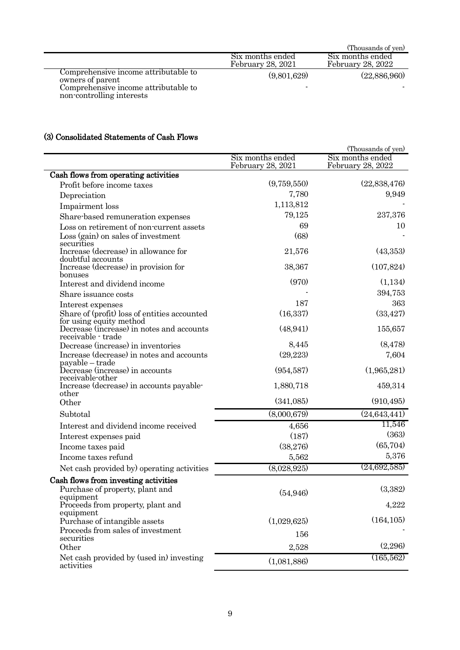|                                                                   |                                       | (Thousands of yen)                    |
|-------------------------------------------------------------------|---------------------------------------|---------------------------------------|
|                                                                   | Six months ended<br>February 28, 2021 | Six months ended<br>February 28, 2022 |
| Comprehensive income attributable to<br>owners of parent          | (9,801,629)                           | (22,886,960)                          |
| Comprehensive income attributable to<br>non-controlling interests |                                       |                                       |

# (3) Consolidated Statements of Cash Flows

|                                                                                      |                                       | (Thousands of yen)                    |
|--------------------------------------------------------------------------------------|---------------------------------------|---------------------------------------|
|                                                                                      | Six months ended<br>February 28, 2021 | Six months ended<br>February 28, 2022 |
| Cash flows from operating activities                                                 |                                       |                                       |
| Profit before income taxes                                                           | (9,759,550)                           | (22,838,476)                          |
| Depreciation                                                                         | 7,780                                 | 9,949                                 |
| Impairment loss                                                                      | 1,113,812                             |                                       |
| Share-based remuneration expenses                                                    | 79,125                                | 237,376                               |
| Loss on retirement of non-current assets                                             | 69                                    | 10                                    |
| Loss (gain) on sales of investment                                                   | (68)                                  |                                       |
| securities<br>Increase (decrease) in allowance for<br>doubtful accounts              | 21,576                                | (43,353)                              |
| Increase (decrease) in provision for<br>bonuses                                      | 38,367                                | (107, 824)                            |
| Interest and dividend income                                                         | (970)                                 | (1,134)                               |
| Share issuance costs                                                                 |                                       | 394,753                               |
| Interest expenses                                                                    | 187                                   | 363                                   |
| Share of (profit) loss of entities accounted<br>for using equity method              | (16, 337)                             | (33, 427)                             |
| Decrease (increase) in notes and accounts<br>receivable - trade                      | (48, 941)                             | 155,657                               |
| Decrease (increase) in inventories                                                   | 8,445                                 | (8, 478)                              |
| Increase (decrease) in notes and accounts                                            | (29, 223)                             | 7,604                                 |
| payable – trade<br>Decrease (increase) in accounts<br>receivable-other               | (954, 587)                            | (1,965,281)                           |
| Increase (decrease) in accounts payable-<br>other                                    | 1,880,718                             | 459,314                               |
| Other                                                                                | (341,085)                             | (910, 495)                            |
| Subtotal                                                                             | (8,000,679)                           | (24, 643, 441)                        |
| Interest and dividend income received                                                |                                       | 11,546                                |
|                                                                                      | 4,656<br>(187)                        | (363)                                 |
| Interest expenses paid                                                               | (38,276)                              | (65, 704)                             |
| Income taxes paid<br>Income taxes refund                                             | 5,562                                 | 5,376                                 |
|                                                                                      |                                       | (24,692,585)                          |
| Net cash provided by) operating activities                                           | (8,028,925)                           |                                       |
| Cash flows from investing activities<br>Purchase of property, plant and<br>equipment | (54, 946)                             | (3,382)                               |
| Proceeds from property, plant and<br>equipment                                       |                                       | 4,222                                 |
| Purchase of intangible assets                                                        | (1,029,625)                           | (164, 105)                            |
| Proceeds from sales of investment<br>securities                                      | 156                                   |                                       |
| Other                                                                                | 2,528                                 | (2,296)                               |
| Net cash provided by (used in) investing<br>activities                               | (1,081,886)                           | (165, 562)                            |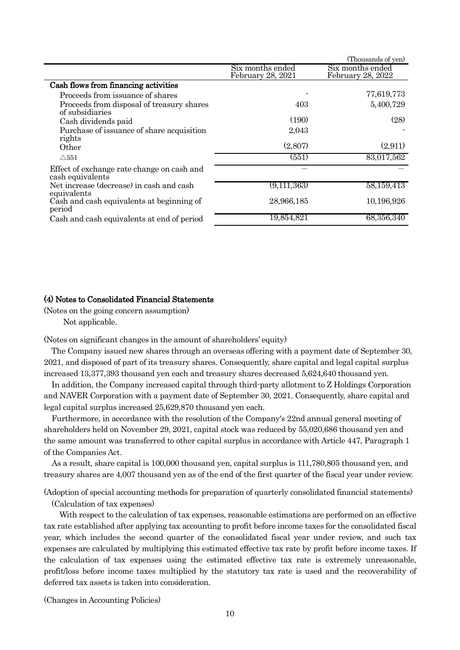|                                                                |                                       | (Thousands of yen)                    |  |
|----------------------------------------------------------------|---------------------------------------|---------------------------------------|--|
|                                                                | Six months ended<br>February 28, 2021 | Six months ended<br>February 28, 2022 |  |
| Cash flows from financing activities                           |                                       |                                       |  |
| Proceeds from issuance of shares                               |                                       | 77,619,773                            |  |
| Proceeds from disposal of treasury shares<br>of subsidiaries   | 403                                   | 5,400,729                             |  |
| Cash dividends paid                                            | (190)                                 | (28)                                  |  |
| Purchase of issuance of share acquisition<br>rights            | 2,043                                 |                                       |  |
| Other                                                          | (2,807)                               | (2,911)                               |  |
| $\triangle$ 551                                                | $\left( 551\right)$                   | 83,017,562                            |  |
| Effect of exchange rate change on cash and<br>cash equivalents |                                       |                                       |  |
| Net increase (decrease) in cash and cash<br>equivalents        | (9,111,363)                           | 58,159,413                            |  |
| Cash and cash equivalents at beginning of<br>period            | 28,966,185                            | 10,196,926                            |  |
| Cash and cash equivalents at end of period                     | 19,854,821                            | 68,356,340                            |  |

## (4) Notes to Consolidated Financial Statements

(Notes on the going concern assumption)

Not applicable.

(Notes on significant changes in the amount of shareholders' equity)

 The Company issued new shares through an overseas offering with a payment date of September 30, 2021, and disposed of part of its treasury shares. Consequently, share capital and legal capital surplus increased 13,377,393 thousand yen each and treasury shares decreased 5,624,640 thousand yen.

 In addition, the Company increased capital through third-party allotment to Z Holdings Corporation and NAVER Corporation with a payment date of September 30, 2021. Consequently, share capital and legal capital surplus increased 25,629,870 thousand yen each.

 Furthermore, in accordance with the resolution of the Company's 22nd annual general meeting of shareholders held on November 29, 2021, capital stock was reduced by 55,020,686 thousand yen and the same amount was transferred to other capital surplus in accordance with Article 447, Paragraph 1 of the Companies Act.

 As a result, share capital is 100,000 thousand yen, capital surplus is 111,780,805 thousand yen, and treasury shares are 4,007 thousand yen as of the end of the first quarter of the fiscal year under review.

(Adoption of special accounting methods for preparation of quarterly consolidated financial statements) (Calculation of tax expenses)

 With respect to the calculation of tax expenses, reasonable estimations are performed on an effective tax rate established after applying tax accounting to profit before income taxes for the consolidated fiscal year, which includes the second quarter of the consolidated fiscal year under review, and such tax expenses are calculated by multiplying this estimated effective tax rate by profit before income taxes. If the calculation of tax expenses using the estimated effective tax rate is extremely unreasonable, profit/loss before income taxes multiplied by the statutory tax rate is used and the recoverability of deferred tax assets is taken into consideration.

(Changes in Accounting Policies)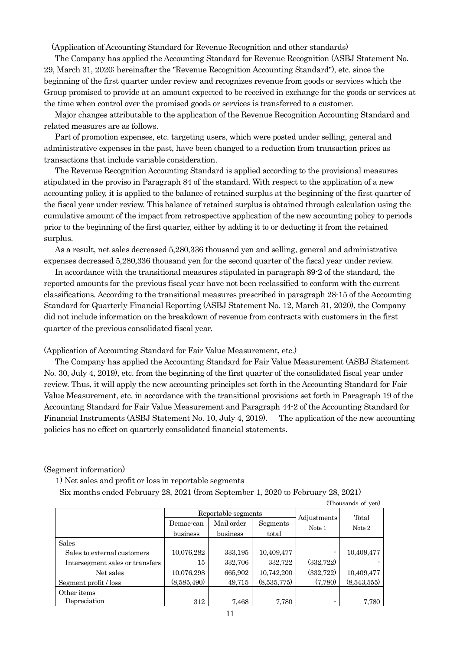(Application of Accounting Standard for Revenue Recognition and other standards)

The Company has applied the Accounting Standard for Revenue Recognition (ASBJ Statement No. 29, March 31, 2020; hereinafter the "Revenue Recognition Accounting Standard"), etc. since the beginning of the first quarter under review and recognizes revenue from goods or services which the Group promised to provide at an amount expected to be received in exchange for the goods or services at the time when control over the promised goods or services is transferred to a customer.

Major changes attributable to the application of the Revenue Recognition Accounting Standard and related measures are as follows.

Part of promotion expenses, etc. targeting users, which were posted under selling, general and administrative expenses in the past, have been changed to a reduction from transaction prices as transactions that include variable consideration.

The Revenue Recognition Accounting Standard is applied according to the provisional measures stipulated in the proviso in Paragraph 84 of the standard. With respect to the application of a new accounting policy, it is applied to the balance of retained surplus at the beginning of the first quarter of the fiscal year under review. This balance of retained surplus is obtained through calculation using the cumulative amount of the impact from retrospective application of the new accounting policy to periods prior to the beginning of the first quarter, either by adding it to or deducting it from the retained surplus.

As a result, net sales decreased 5,280,336 thousand yen and selling, general and administrative expenses decreased 5,280,336 thousand yen for the second quarter of the fiscal year under review.

In accordance with the transitional measures stipulated in paragraph 89-2 of the standard, the reported amounts for the previous fiscal year have not been reclassified to conform with the current classifications. According to the transitional measures prescribed in paragraph 28-15 of the Accounting Standard for Quarterly Financial Reporting (ASBJ Statement No. 12, March 31, 2020), the Company did not include information on the breakdown of revenue from contracts with customers in the first quarter of the previous consolidated fiscal year.

(Application of Accounting Standard for Fair Value Measurement, etc.)

The Company has applied the Accounting Standard for Fair Value Measurement (ASBJ Statement No. 30, July 4, 2019), etc. from the beginning of the first quarter of the consolidated fiscal year under review. Thus, it will apply the new accounting principles set forth in the Accounting Standard for Fair Value Measurement, etc. in accordance with the transitional provisions set forth in Paragraph 19 of the Accounting Standard for Fair Value Measurement and Paragraph 44-2 of the Accounting Standard for Financial Instruments (ASBJ Statement No. 10, July 4, 2019). The application of the new accounting policies has no effect on quarterly consolidated financial statements.

#### (Segment information)

1) Net sales and profit or loss in reportable segments

Six months ended February 28, 2021 (from September 1, 2020 to February 28, 2021)

| (Thousands of yen)              |                     |            |             |             |             |  |  |
|---------------------------------|---------------------|------------|-------------|-------------|-------------|--|--|
|                                 | Reportable segments |            |             |             | Total       |  |  |
|                                 | Demae-can           | Mail order | Segments    | Adjustments |             |  |  |
|                                 | business            | business   | total       | Note 1      | Note 2      |  |  |
| <b>Sales</b>                    |                     |            |             |             |             |  |  |
| Sales to external customers     | 10,076,282          | 333,195    | 10,409,477  |             | 10,409,477  |  |  |
| Intersegment sales or transfers | 15                  | 332,706    | 332,722     | (332, 722)  |             |  |  |
| Net sales                       | 10,076,298          | 665,902    | 10,742,200  | (332, 722)  | 10,409,477  |  |  |
| Segment profit / loss           | (8,585,490)         | 49,715     | (8,535,775) | (7,780)     | (8,543,555) |  |  |
| Other items<br>Depreciation     | 312                 | 7,468      | 7,780       |             | 7,780       |  |  |